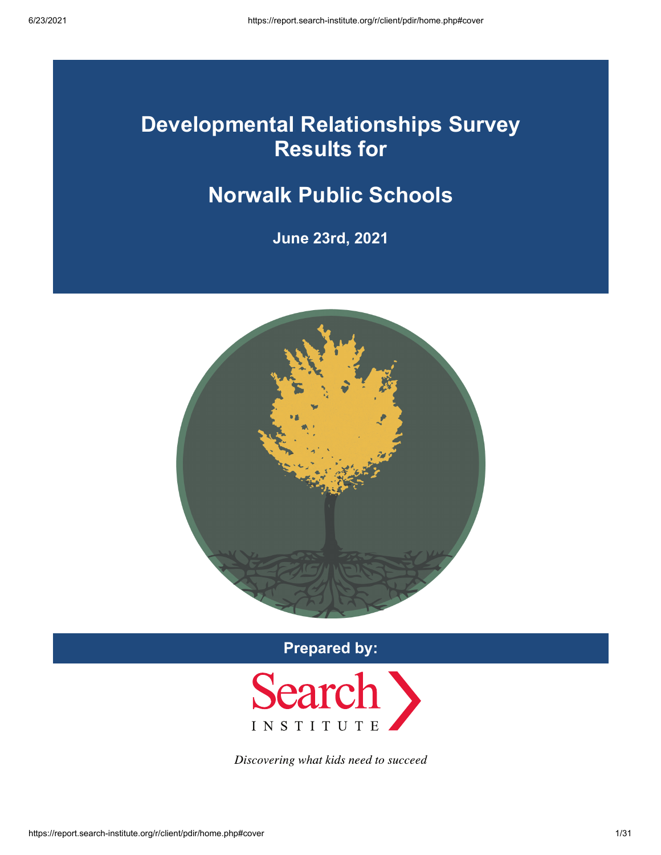## **Developmental Relationships Survey Results for**

## **Norwalk Public Schools**

**June 23rd, 2021**



**Prepared by:**



Discovering what kids need to succeed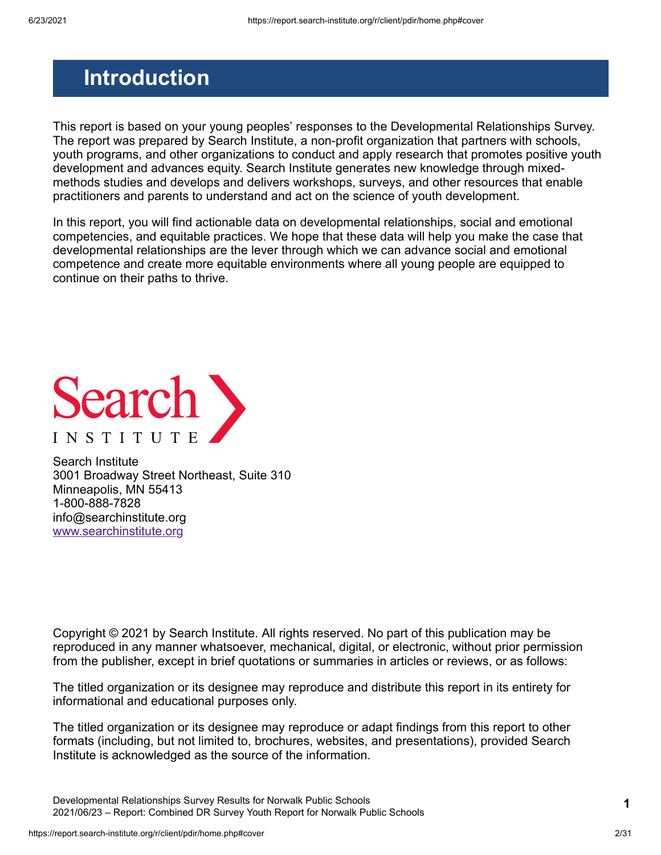## <span id="page-1-0"></span>**Introduction**

This report is based on your young peoples' responses to the Developmental Relationships Survey. The report was prepared by Search Institute, a non-profit organization that partners with schools, youth programs, and other organizations to conduct and apply research that promotes positive youth development and advances equity. Search Institute generates new knowledge through mixedmethods studies and develops and delivers workshops, surveys, and other resources that enable practitioners and parents to understand and act on the science of youth development.

In this report, you will find actionable data on developmental relationships, social and emotional competencies, and equitable practices. We hope that these data will help you make the case that developmental relationships are the lever through which we can advance social and emotional competence and create more equitable environments where all young people are equipped to continue on their paths to thrive.



Search Institute 3001 Broadway Street Northeast, Suite 310 Minneapolis, MN 55413 1-800-888-7828 info@searchinstitute.org [www.searchinstitute.org](https://www.search-institute.org/)

Copyright © 2021 by Search Institute. All rights reserved. No part of this publication may be reproduced in any manner whatsoever, mechanical, digital, or electronic, without prior permission from the publisher, except in brief quotations or summaries in articles or reviews, or as follows:

The titled organization or its designee may reproduce and distribute this report in its entirety for informational and educational purposes only.

The titled organization or its designee may reproduce or adapt findings from this report to other formats (including, but not limited to, brochures, websites, and presentations), provided Search Institute is acknowledged as the source of the information.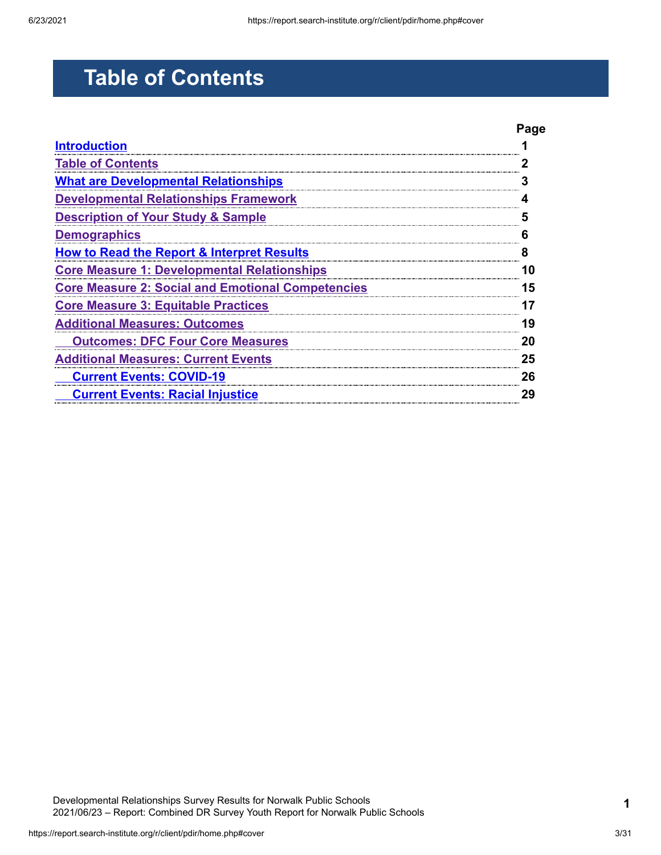# <span id="page-2-0"></span>**Table of Contents**

|                                                          | Page |
|----------------------------------------------------------|------|
| <b>Introduction</b>                                      |      |
| <b>Table of Contents</b>                                 |      |
| <b>What are Developmental Relationships</b>              |      |
| <b>Developmental Relationships Framework</b>             |      |
| <b>Description of Your Study &amp; Sample</b>            |      |
| <b>Demographics</b>                                      |      |
| <b>How to Read the Report &amp; Interpret Results</b>    |      |
| <b>Core Measure 1: Developmental Relationships</b>       | 10   |
| <b>Core Measure 2: Social and Emotional Competencies</b> | 15   |
| <b>Core Measure 3: Equitable Practices</b>               |      |
| <b>Additional Measures: Outcomes</b>                     | 19   |
| <b>Outcomes: DFC Four Core Measures</b>                  | 20   |
| <b>Additional Measures: Current Events</b>               | 25   |
| <b>Current Events: COVID-19</b>                          | 26   |
| <b>Current Events: Racial Injustice</b>                  | 29   |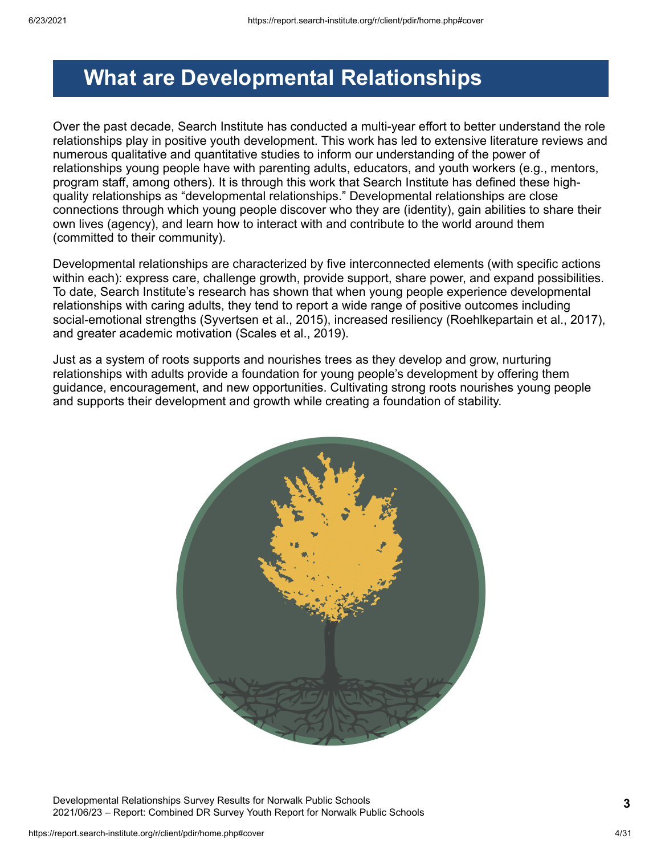## <span id="page-3-0"></span>**What are Developmental Relationships**

Over the past decade, Search Institute has conducted a multi-year effort to better understand the role relationships play in positive youth development. This work has led to extensive literature reviews and numerous qualitative and quantitative studies to inform our understanding of the power of relationships young people have with parenting adults, educators, and youth workers (e.g., mentors, program staff, among others). It is through this work that Search Institute has defined these highquality relationships as "developmental relationships." Developmental relationships are close connections through which young people discover who they are (identity), gain abilities to share their own lives (agency), and learn how to interact with and contribute to the world around them (committed to their community).

Developmental relationships are characterized by five interconnected elements (with specific actions within each): express care, challenge growth, provide support, share power, and expand possibilities. To date, Search Institute's research has shown that when young people experience developmental relationships with caring adults, they tend to report a wide range of positive outcomes including social-emotional strengths (Syvertsen et al., 2015), increased resiliency (Roehlkepartain et al., 2017), and greater academic motivation (Scales et al., 2019).

Just as a system of roots supports and nourishes trees as they develop and grow, nurturing relationships with adults provide a foundation for young people's development by offering them guidance, encouragement, and new opportunities. Cultivating strong roots nourishes young people and supports their development and growth while creating a foundation of stability.



Developmental Relationships Survey Results for Norwalk Public Schools 2021/06/23 – Report: Combined DR Survey Youth Report for Norwalk Public Schools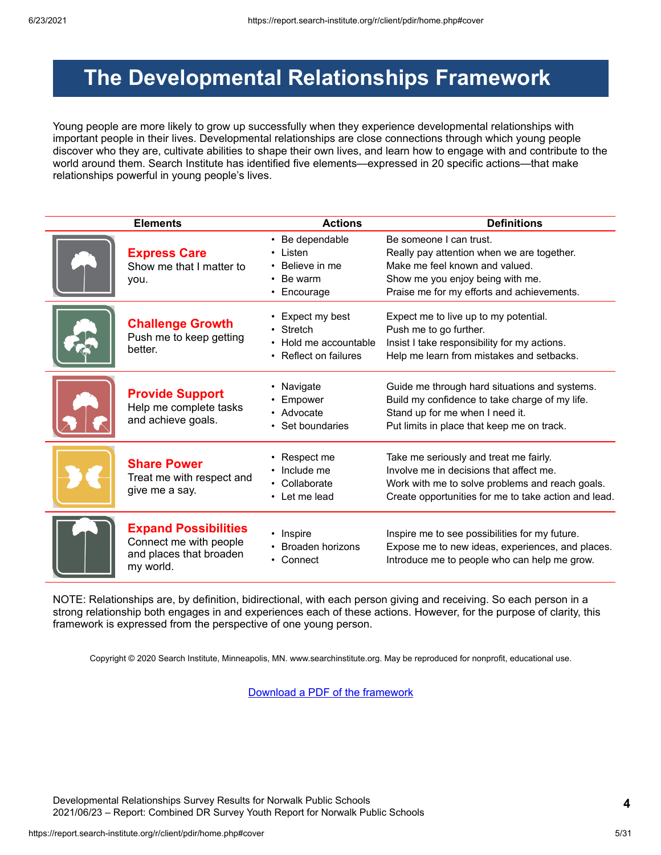## <span id="page-4-0"></span>**The Developmental Relationships Framework**

Young people are more likely to grow up successfully when they experience developmental relationships with important people in their lives. Developmental relationships are close connections through which young people discover who they are, cultivate abilities to shape their own lives, and learn how to engage with and contribute to the world around them. Search Institute has identified five elements—expressed in 20 specific actions—that make relationships powerful in young people's lives.

| <b>Elements</b>                                                                               | <b>Actions</b>                                                                  | <b>Definitions</b>                                                                                                                                                                           |
|-----------------------------------------------------------------------------------------------|---------------------------------------------------------------------------------|----------------------------------------------------------------------------------------------------------------------------------------------------------------------------------------------|
| <b>Express Care</b><br>Show me that I matter to<br>you.                                       | • Be dependable<br>Listen<br>Believe in me<br>Be warm<br>Encourage<br>$\bullet$ | Be someone I can trust.<br>Really pay attention when we are together.<br>Make me feel known and valued.<br>Show me you enjoy being with me.<br>Praise me for my efforts and achievements.    |
| <b>Challenge Growth</b><br>Push me to keep getting<br>better.                                 | Expect my best<br>• Stretch<br>Hold me accountable<br>• Reflect on failures     | Expect me to live up to my potential.<br>Push me to go further.<br>Insist I take responsibility for my actions.<br>Help me learn from mistakes and setbacks.                                 |
| <b>Provide Support</b><br>Help me complete tasks<br>and achieve goals.                        | Navigate<br>Empower<br>• Advocate<br>Set boundaries                             | Guide me through hard situations and systems.<br>Build my confidence to take charge of my life.<br>Stand up for me when I need it.<br>Put limits in place that keep me on track.             |
| <b>Share Power</b><br>Treat me with respect and<br>give me a say.                             | Respect me<br>Include me<br>• Collaborate<br>• Let me lead                      | Take me seriously and treat me fairly.<br>Involve me in decisions that affect me.<br>Work with me to solve problems and reach goals.<br>Create opportunities for me to take action and lead. |
| <b>Expand Possibilities</b><br>Connect me with people<br>and places that broaden<br>my world. | • Inspire<br>Broaden horizons<br>• Connect                                      | Inspire me to see possibilities for my future.<br>Expose me to new ideas, experiences, and places.<br>Introduce me to people who can help me grow.                                           |

NOTE: Relationships are, by definition, bidirectional, with each person giving and receiving. So each person in a strong relationship both engages in and experiences each of these actions. However, for the purpose of clarity, this framework is expressed from the perspective of one young person.

Copyright © 2020 Search Institute, Minneapolis, MN. www.searchinstitute.org. May be reproduced for nonprofit, educational use.

[Download a PDF of the framework](https://report.search-institute.org/r/images/drs/Developmental_Relationships_Framework_English_2019-03-25.pdf)

Developmental Relationships Survey Results for Norwalk Public Schools 2021/06/23 – Report: Combined DR Survey Youth Report for Norwalk Public Schools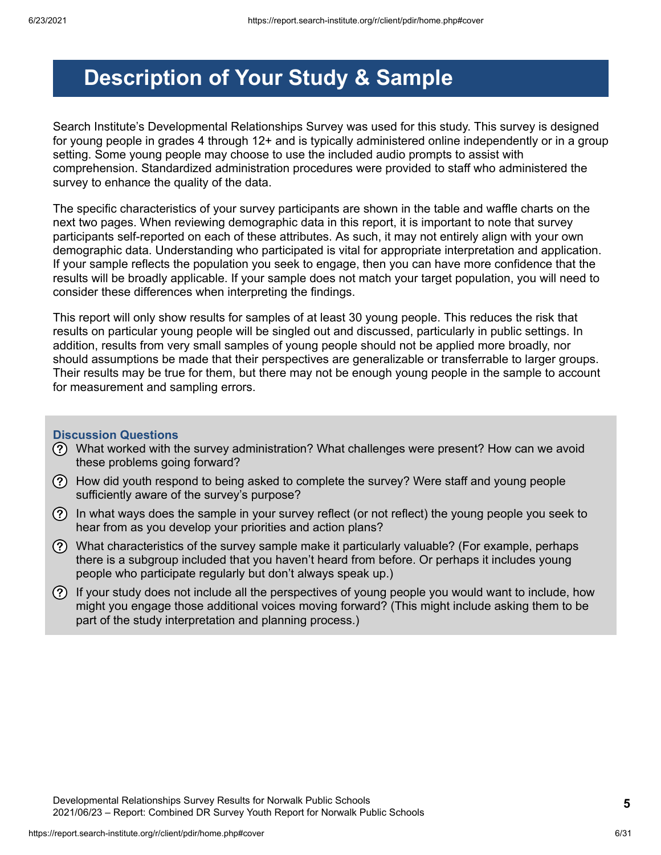## <span id="page-5-0"></span>**Description of Your Study & Sample**

Search Institute's Developmental Relationships Survey was used for this study. This survey is designed for young people in grades 4 through 12+ and is typically administered online independently or in a group setting. Some young people may choose to use the included audio prompts to assist with comprehension. Standardized administration procedures were provided to staff who administered the survey to enhance the quality of the data.

The specific characteristics of your survey participants are shown in the table and waffle charts on the next two pages. When reviewing demographic data in this report, it is important to note that survey participants self-reported on each of these attributes. As such, it may not entirely align with your own demographic data. Understanding who participated is vital for appropriate interpretation and application. If your sample reflects the population you seek to engage, then you can have more confidence that the results will be broadly applicable. If your sample does not match your target population, you will need to consider these differences when interpreting the findings.

This report will only show results for samples of at least 30 young people. This reduces the risk that results on particular young people will be singled out and discussed, particularly in public settings. In addition, results from very small samples of young people should not be applied more broadly, nor should assumptions be made that their perspectives are generalizable or transferrable to larger groups. Their results may be true for them, but there may not be enough young people in the sample to account for measurement and sampling errors.

#### **Discussion Questions**

- What worked with the survey administration? What challenges were present? How can we avoid these problems going forward?
- How did youth respond to being asked to complete the survey? Were staff and young people sufficiently aware of the survey's purpose?
- In what ways does the sample in your survey reflect (or not reflect) the young people you seek to hear from as you develop your priorities and action plans?
- $\Omega$  What characteristics of the survey sample make it particularly valuable? (For example, perhaps there is a subgroup included that you haven't heard from before. Or perhaps it includes young people who participate regularly but don't always speak up.)
- $(?)$  If your study does not include all the perspectives of young people you would want to include, how might you engage those additional voices moving forward? (This might include asking them to be part of the study interpretation and planning process.)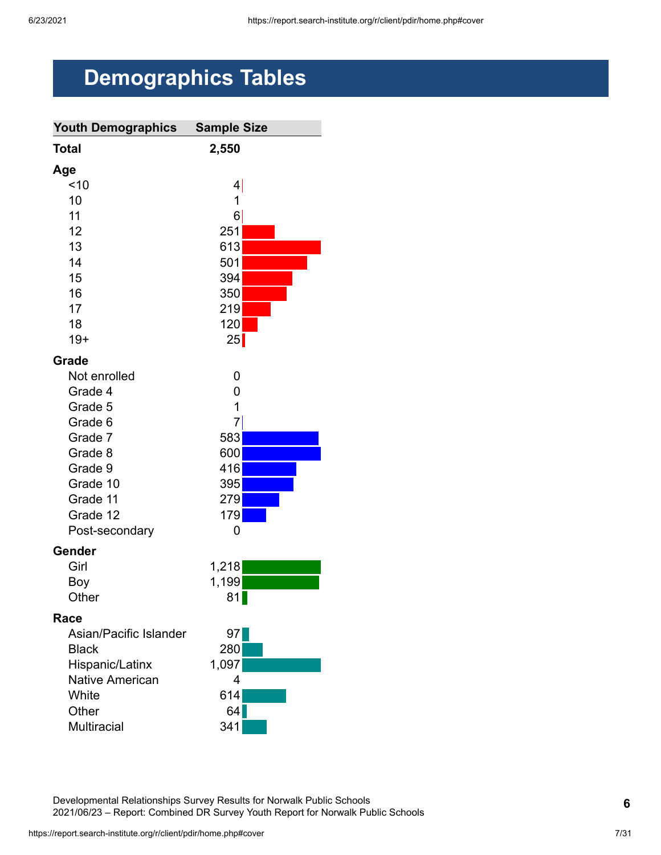# <span id="page-6-0"></span>**Demographics Tables**

| <b>Youth Demographics</b> | <b>Sample Size</b> |
|---------------------------|--------------------|
| <b>Total</b>              | 2,550              |
| Age                       |                    |
| ~10                       | 4                  |
| 10                        | 1                  |
| 11                        | 6                  |
| 12                        | 251                |
| 13                        | 613                |
| 14                        | 501                |
| 15                        | 394                |
| 16                        | 350                |
| 17                        | 219                |
| 18                        | 120                |
| $19+$                     | 25                 |
| Grade                     |                    |
| Not enrolled              | 0                  |
| Grade 4                   | 0                  |
| Grade 5                   | 1                  |
| Grade 6                   | 7                  |
| Grade 7                   | 583                |
| Grade 8                   | 600                |
| Grade 9                   | 416                |
| Grade 10                  | 395                |
| Grade 11                  | 279                |
| Grade 12                  | 179                |
| Post-secondary            | 0                  |
| Gender                    |                    |
| Girl                      | 1,218              |
| Boy                       | 1,199              |
| Other                     | 81                 |
| Race                      |                    |
| Asian/Pacific Islander    | 97                 |
| <b>Black</b>              | 280                |
| Hispanic/Latinx           | 1,097              |
| <b>Native American</b>    | 4                  |
| White                     | 614                |
| Other                     | 64                 |
| <b>Multiracial</b>        | 341                |

Developmental Relationships Survey Results for Norwalk Public Schools 2021/06/23 – Report: Combined DR Survey Youth Report for Norwalk Public Schools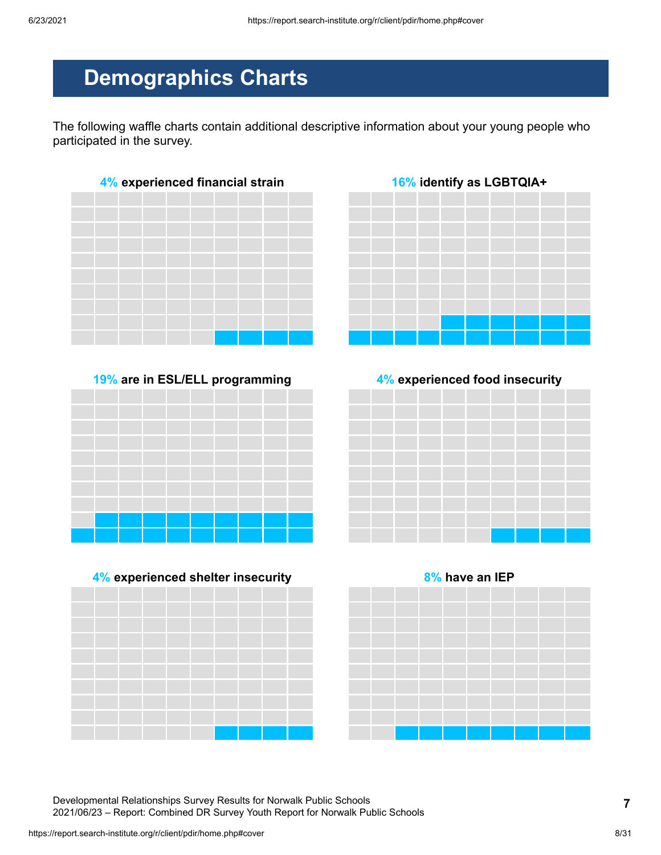## **Demographics Charts**

The following waffle charts contain additional descriptive information about your young people who participated in the survey.



**19% are in ESL/ELL programming 4% experienced food insecurity**









Developmental Relationships Survey Results for Norwalk Public Schools 2021/06/23 – Report: Combined DR Survey Youth Report for Norwalk Public Schools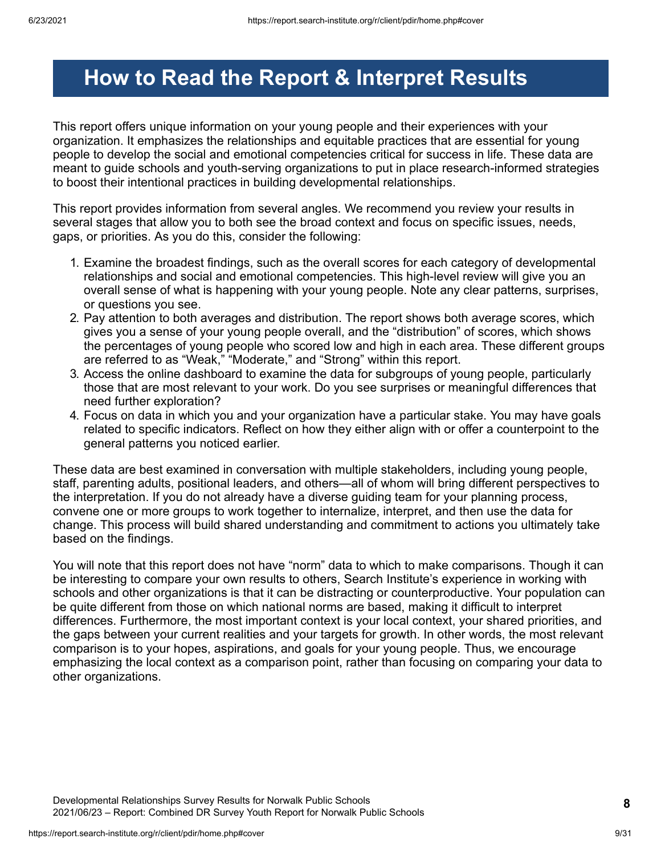## <span id="page-8-0"></span>**How to Read the Report & Interpret Results**

This report offers unique information on your young people and their experiences with your organization. It emphasizes the relationships and equitable practices that are essential for young people to develop the social and emotional competencies critical for success in life. These data are meant to guide schools and youth-serving organizations to put in place research-informed strategies to boost their intentional practices in building developmental relationships.

This report provides information from several angles. We recommend you review your results in several stages that allow you to both see the broad context and focus on specific issues, needs, gaps, or priorities. As you do this, consider the following:

- 1. Examine the broadest findings, such as the overall scores for each category of developmental relationships and social and emotional competencies. This high-level review will give you an overall sense of what is happening with your young people. Note any clear patterns, surprises, or questions you see.
- 2. Pay attention to both averages and distribution. The report shows both average scores, which gives you a sense of your young people overall, and the "distribution" of scores, which shows the percentages of young people who scored low and high in each area. These different groups are referred to as "Weak," "Moderate," and "Strong" within this report.
- 3. Access the online dashboard to examine the data for subgroups of young people, particularly those that are most relevant to your work. Do you see surprises or meaningful differences that need further exploration?
- 4. Focus on data in which you and your organization have a particular stake. You may have goals related to specific indicators. Reflect on how they either align with or offer a counterpoint to the general patterns you noticed earlier.

These data are best examined in conversation with multiple stakeholders, including young people, staff, parenting adults, positional leaders, and others—all of whom will bring different perspectives to the interpretation. If you do not already have a diverse guiding team for your planning process, convene one or more groups to work together to internalize, interpret, and then use the data for change. This process will build shared understanding and commitment to actions you ultimately take based on the findings.

You will note that this report does not have "norm" data to which to make comparisons. Though it can be interesting to compare your own results to others, Search Institute's experience in working with schools and other organizations is that it can be distracting or counterproductive. Your population can be quite different from those on which national norms are based, making it difficult to interpret differences. Furthermore, the most important context is your local context, your shared priorities, and the gaps between your current realities and your targets for growth. In other words, the most relevant comparison is to your hopes, aspirations, and goals for your young people. Thus, we encourage emphasizing the local context as a comparison point, rather than focusing on comparing your data to other organizations.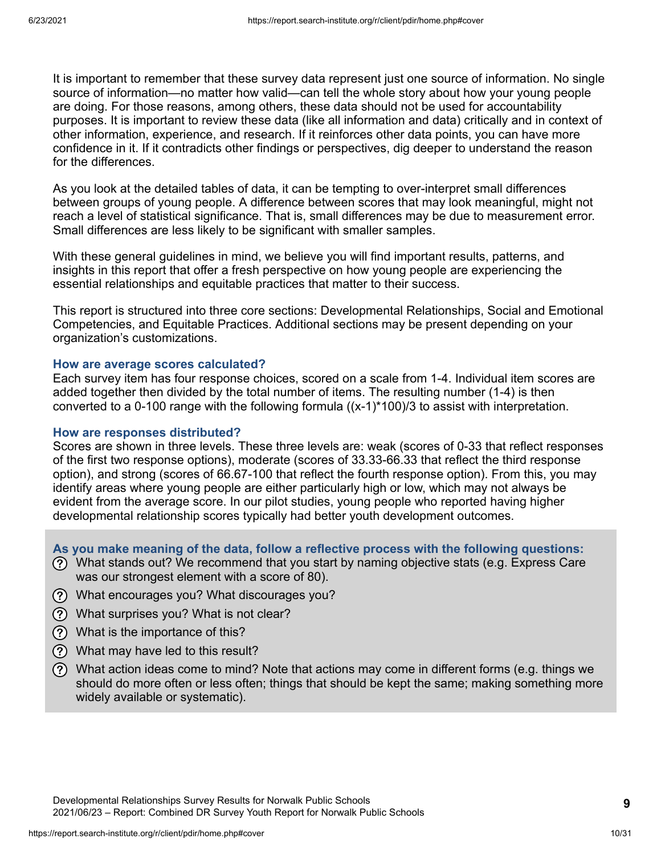It is important to remember that these survey data represent just one source of information. No single source of information—no matter how valid—can tell the whole story about how your young people are doing. For those reasons, among others, these data should not be used for accountability purposes. It is important to review these data (like all information and data) critically and in context of other information, experience, and research. If it reinforces other data points, you can have more confidence in it. If it contradicts other findings or perspectives, dig deeper to understand the reason for the differences.

As you look at the detailed tables of data, it can be tempting to over-interpret small differences between groups of young people. A difference between scores that may look meaningful, might not reach a level of statistical significance. That is, small differences may be due to measurement error. Small differences are less likely to be significant with smaller samples.

With these general guidelines in mind, we believe you will find important results, patterns, and insights in this report that offer a fresh perspective on how young people are experiencing the essential relationships and equitable practices that matter to their success.

This report is structured into three core sections: Developmental Relationships, Social and Emotional Competencies, and Equitable Practices. Additional sections may be present depending on your organization's customizations.

#### **How are average scores calculated?**

Each survey item has four response choices, scored on a scale from 1-4. Individual item scores are added together then divided by the total number of items. The resulting number (1-4) is then converted to a 0-100 range with the following formula  $((x-1)^*100)/3$  to assist with interpretation.

#### **How are responses distributed?**

Scores are shown in three levels. These three levels are: weak (scores of 0-33 that reflect responses of the first two response options), moderate (scores of 33.33-66.33 that reflect the third response option), and strong (scores of 66.67-100 that reflect the fourth response option). From this, you may identify areas where young people are either particularly high or low, which may not always be evident from the average score. In our pilot studies, young people who reported having higher developmental relationship scores typically had better youth development outcomes.

**As you make meaning of the data, follow a reflective process with the following questions:**

- What stands out? We recommend that you start by naming objective stats (e.g. Express Care was our strongest element with a score of 80).
- What encourages you? What discourages you?
- What surprises you? What is not clear?
- What is the importance of this?
- What may have led to this result?
- What action ideas come to mind? Note that actions may come in different forms (e.g. things we should do more often or less often; things that should be kept the same; making something more widely available or systematic).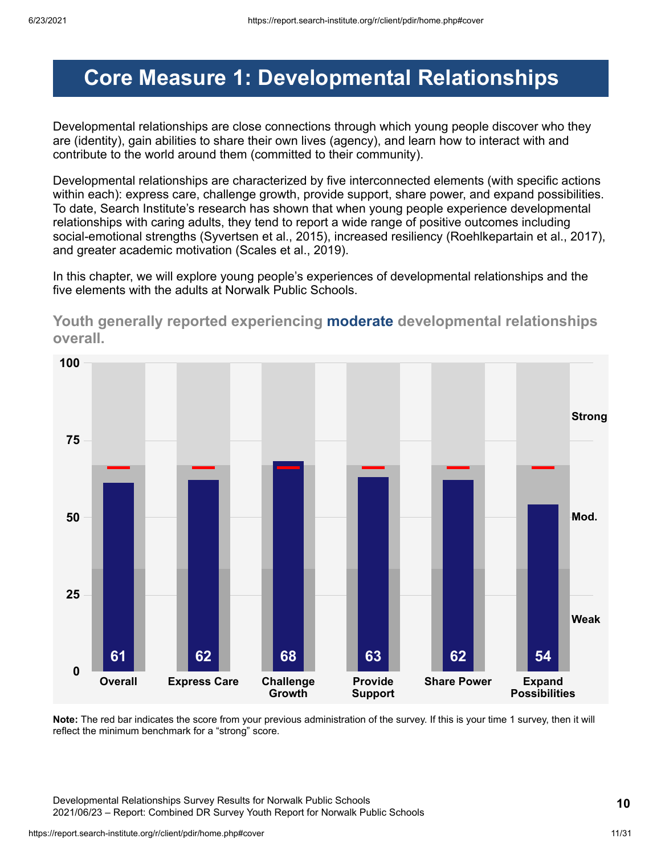## <span id="page-10-0"></span>**Core Measure 1: Developmental Relationships**

Developmental relationships are close connections through which young people discover who they are (identity), gain abilities to share their own lives (agency), and learn how to interact with and contribute to the world around them (committed to their community).

Developmental relationships are characterized by five interconnected elements (with specific actions within each): express care, challenge growth, provide support, share power, and expand possibilities. To date, Search Institute's research has shown that when young people experience developmental relationships with caring adults, they tend to report a wide range of positive outcomes including social-emotional strengths (Syvertsen et al., 2015), increased resiliency (Roehlkepartain et al., 2017), and greater academic motivation (Scales et al., 2019).

In this chapter, we will explore young people's experiences of developmental relationships and the five elements with the adults at Norwalk Public Schools.



**Youth generally reported experiencing moderate developmental relationships overall.**

**Note:** The red bar indicates the score from your previous administration of the survey. If this is your time 1 survey, then it will reflect the minimum benchmark for a "strong" score.

Developmental Relationships Survey Results for Norwalk Public Schools 2021/06/23 – Report: Combined DR Survey Youth Report for Norwalk Public Schools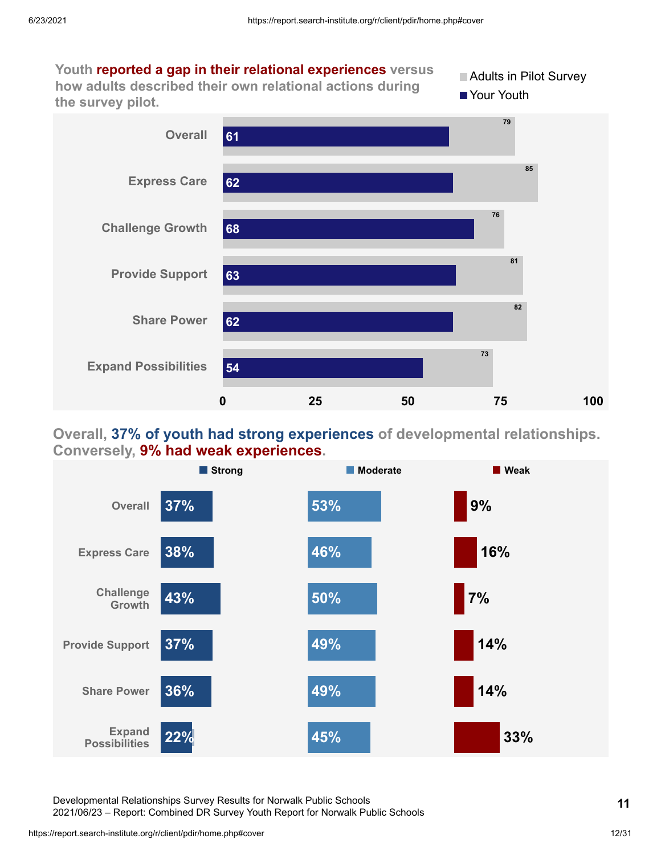

### **Overall, 37% of youth had strong experiences of developmental relationships. Conversely, 9% had weak experiences.**



Developmental Relationships Survey Results for Norwalk Public Schools 2021/06/23 – Report: Combined DR Survey Youth Report for Norwalk Public Schools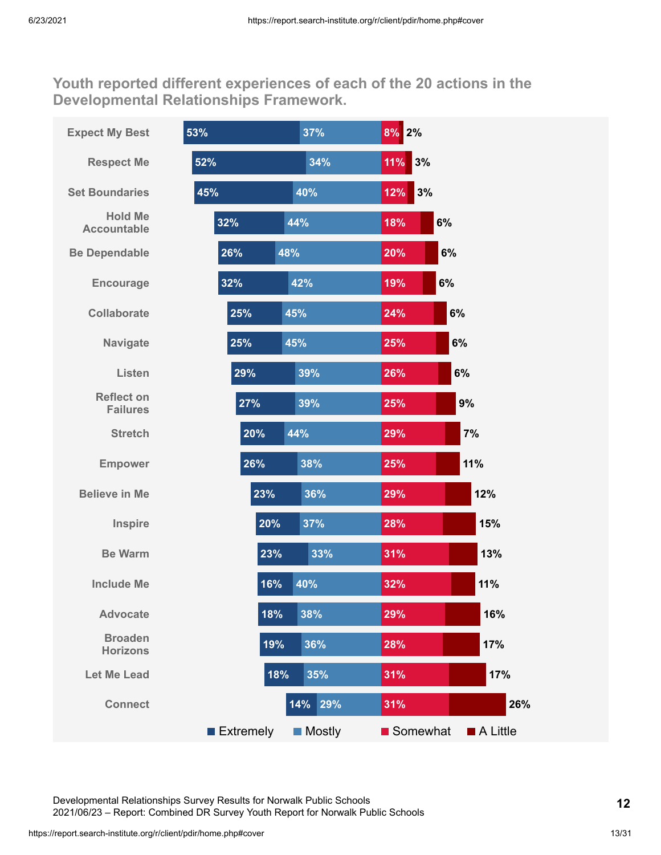**Youth reported different experiences of each of the 20 actions in the Developmental Relationships Framework.**

| <b>Expect My Best</b>                | 53%       | 37%           | 8% 2%     |          |
|--------------------------------------|-----------|---------------|-----------|----------|
| <b>Respect Me</b>                    | 52%       | 34%           | 3%<br>11% |          |
| <b>Set Boundaries</b>                | 45%       | 40%           | 3%<br>12% |          |
| <b>Hold Me</b><br><b>Accountable</b> | 32%       | 44%           | 18%       | 6%       |
| <b>Be Dependable</b>                 | 26%       | 48%           | 20%       | 6%       |
| <b>Encourage</b>                     | 32%       | 42%           | 19%       | 6%       |
| <b>Collaborate</b>                   | 25%       | 45%           | 24%       | 6%       |
| <b>Navigate</b>                      | 25%       | 45%           | 25%       | 6%       |
| Listen                               | 29%       | 39%           | 26%       | 6%       |
| <b>Reflect on</b><br><b>Failures</b> | 27%       | 39%           | 25%       | 9%       |
| <b>Stretch</b>                       | 20%       | 44%           | 29%       | 7%       |
| <b>Empower</b>                       | 26%       | 38%           | 25%       | 11%      |
| <b>Believe in Me</b>                 | 23%       | 36%           | 29%       | 12%      |
| Inspire                              | 20%       | 37%           | 28%       | 15%      |
| <b>Be Warm</b>                       | 23%       | 33%           | 31%       | 13%      |
| <b>Include Me</b>                    | 16%       | 40%           | 32%       | 11%      |
| <b>Advocate</b>                      | 18%       | 38%           | 29%       | 16%      |
| <b>Broaden</b><br><b>Horizons</b>    | 19%       | 36%           | 28%       | 17%      |
| <b>Let Me Lead</b>                   | 18%       | 35%           | 31%       | 17%      |
| <b>Connect</b>                       |           | 14% 29%       | 31%       | 26%      |
|                                      | Extremely | <b>Mostly</b> | Somewhat  | A Little |

Developmental Relationships Survey Results for Norwalk Public Schools 2021/06/23 – Report: Combined DR Survey Youth Report for Norwalk Public Schools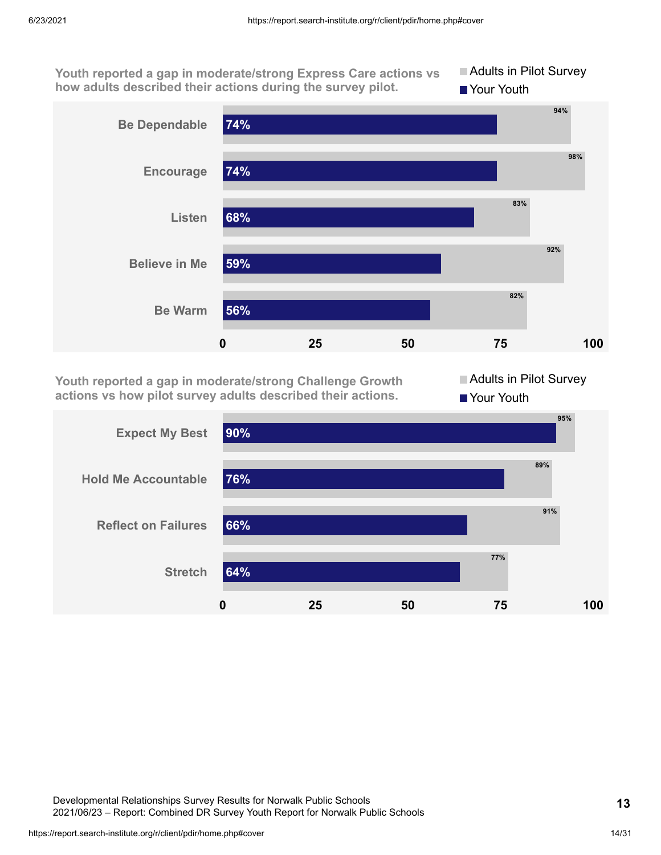**Youth reported a gap in moderate/strong Express Care actions vs how adults described their actions during the survey pilot.**





**Youth reported a gap in moderate/strong Challenge Growth actions vs how pilot survey adults described their actions.**

Adults in Pilot Survey Your Youth

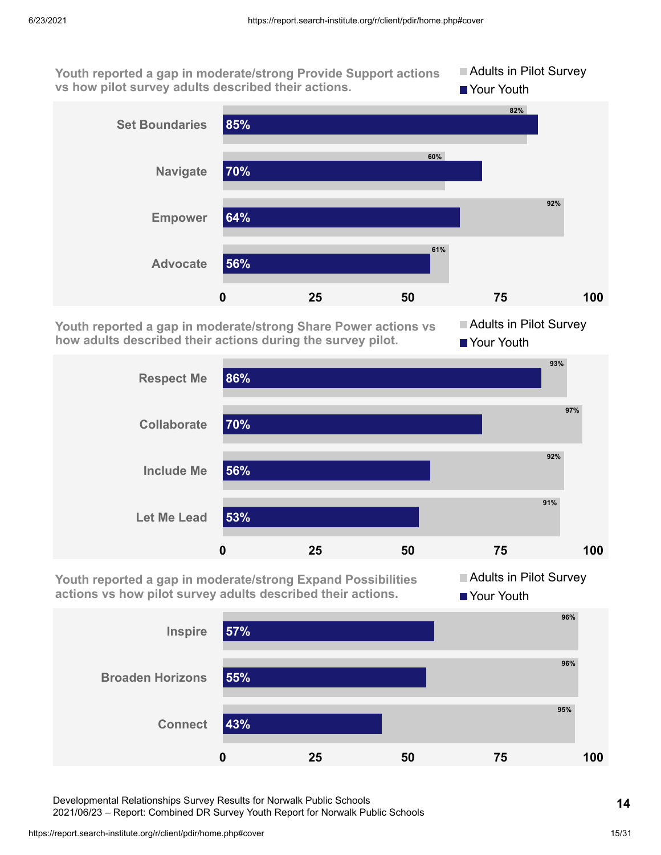**Youth reported a gap in moderate/strong Provide Support actions vs how pilot survey adults described their actions. Adults in Pilot Survey Your Youth** 



**Youth reported a gap in moderate/strong Share Power actions vs how adults described their actions during the survey pilot.**

**Adults in Pilot Survey** ■ Your Youth



**Youth reported a gap in moderate/strong Expand Possibilities actions vs how pilot survey adults described their actions.**

**Adults in Pilot Survey Your Youth** 



Developmental Relationships Survey Results for Norwalk Public Schools

2021/06/23 – Report: Combined DR Survey Youth Report for Norwalk Public Schools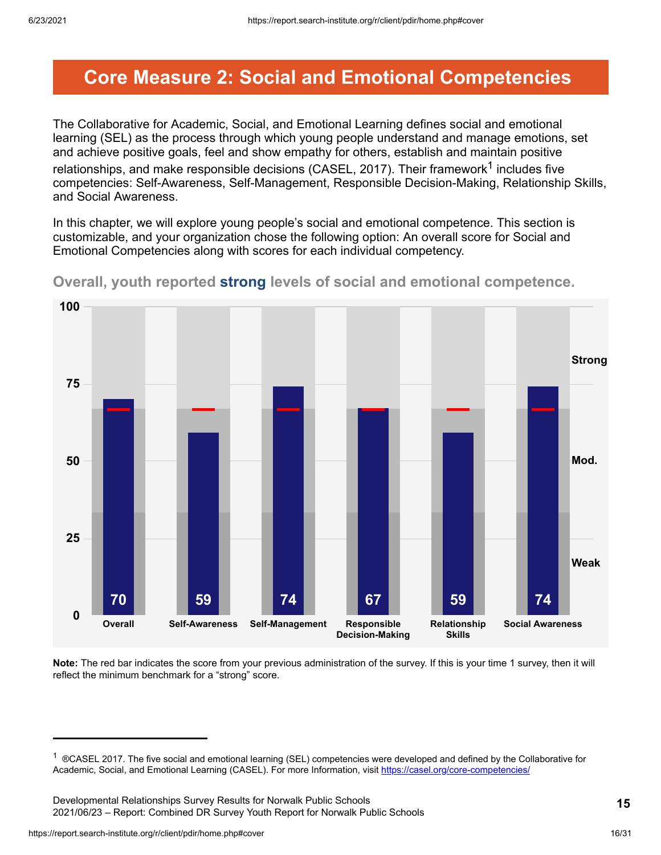### <span id="page-15-0"></span>**Core Measure 2: Social and Emotional Competencies**

The Collaborative for Academic, Social, and Emotional Learning defines social and emotional learning (SEL) as the process through which young people understand and manage emotions, set and achieve positive goals, feel and show empathy for others, establish and maintain positive relationships, and make responsible decisions (CASEL, 2017). Their framework $^{\text{1}}$  includes five competencies: Self-Awareness, Self-Management, Responsible Decision-Making, Relationship Skills, and Social Awareness.

In this chapter, we will explore young people's social and emotional competence. This section is customizable, and your organization chose the following option: An overall score for Social and Emotional Competencies along with scores for each individual competency.



**Overall, youth reported strong levels of social and emotional competence.**

**Note:** The red bar indicates the score from your previous administration of the survey. If this is your time 1 survey, then it will reflect the minimum benchmark for a "strong" score.

<sup>&</sup>lt;sup>1</sup> ®CASEL 2017. The five social and emotional learning (SEL) competencies were developed and defined by the Collaborative for Academic, Social, and Emotional Learning (CASEL). For more Information, visit <https://casel.org/core-competencies/>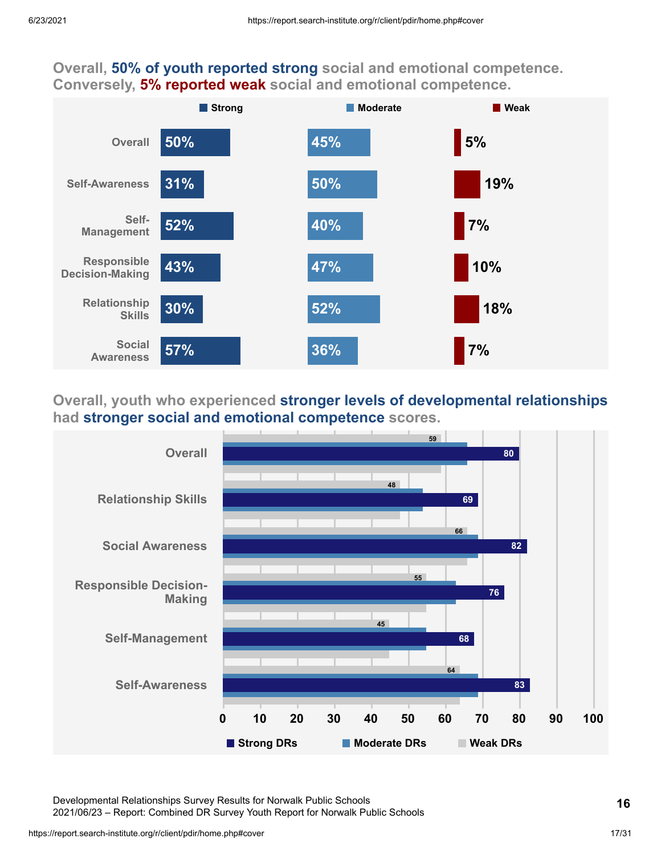### **Overall, 50% of youth reported strong social and emotional competence. Conversely, 5% reported weak social and emotional competence.**



### **Overall, youth who experienced stronger levels of developmental relationships had stronger social and emotional competence scores.**



Developmental Relationships Survey Results for Norwalk Public Schools 2021/06/23 – Report: Combined DR Survey Youth Report for Norwalk Public Schools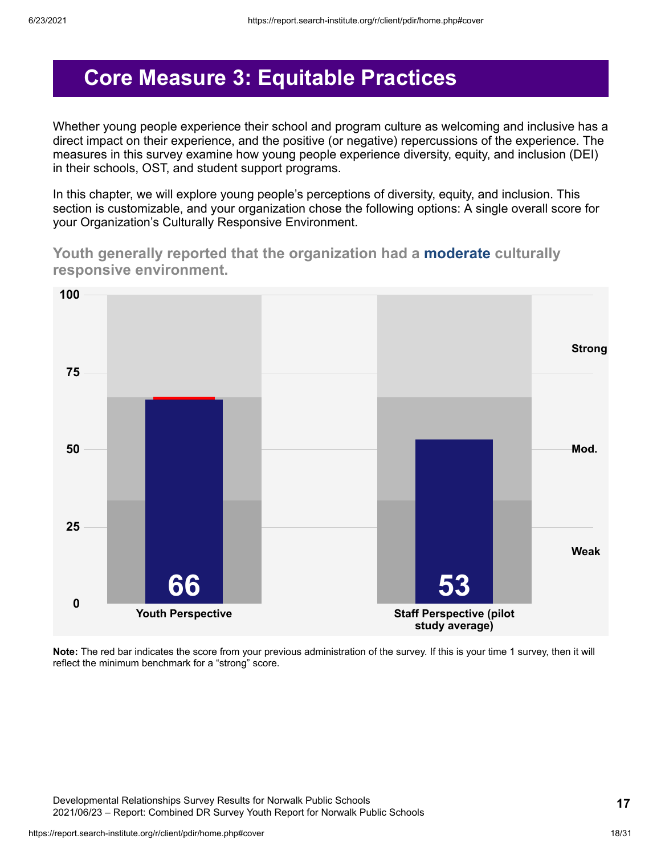## <span id="page-17-0"></span>**Core Measure 3: Equitable Practices**

Whether young people experience their school and program culture as welcoming and inclusive has a direct impact on their experience, and the positive (or negative) repercussions of the experience. The measures in this survey examine how young people experience diversity, equity, and inclusion (DEI) in their schools, OST, and student support programs.

In this chapter, we will explore young people's perceptions of diversity, equity, and inclusion. This section is customizable, and your organization chose the following options: A single overall score for your Organization's Culturally Responsive Environment.

**Youth generally reported that the organization had a moderate culturally responsive environment.**



**Note:** The red bar indicates the score from your previous administration of the survey. If this is your time 1 survey, then it will reflect the minimum benchmark for a "strong" score.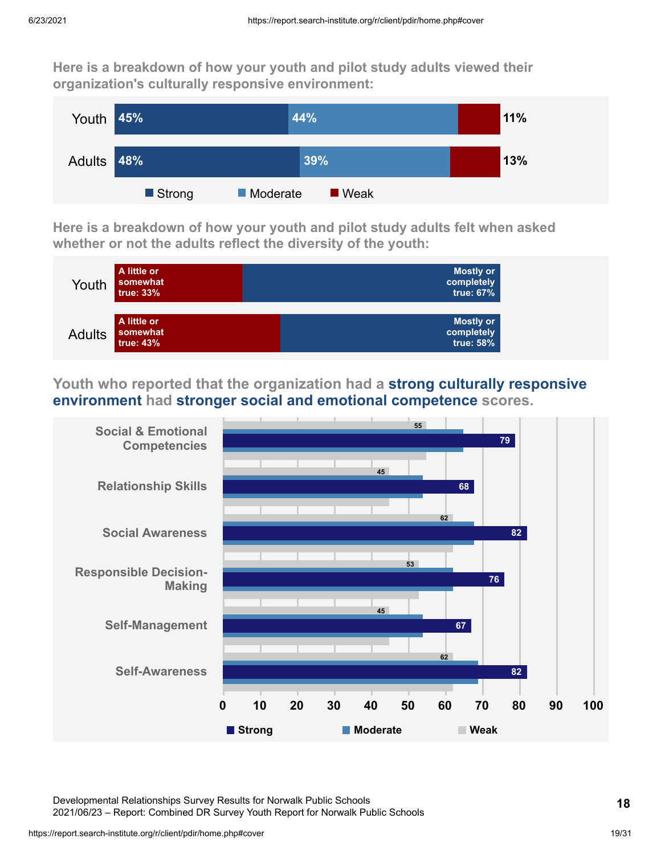**Here is a breakdown of how your youth and pilot study adults viewed their organization's culturally responsive environment:**



**Here is a breakdown of how your youth and pilot study adults felt when asked whether or not the adults reflect the diversity of the youth:**



**Youth who reported that the organization had a strong culturally responsive environment had stronger social and emotional competence scores.**



Developmental Relationships Survey Results for Norwalk Public Schools 2021/06/23 – Report: Combined DR Survey Youth Report for Norwalk Public Schools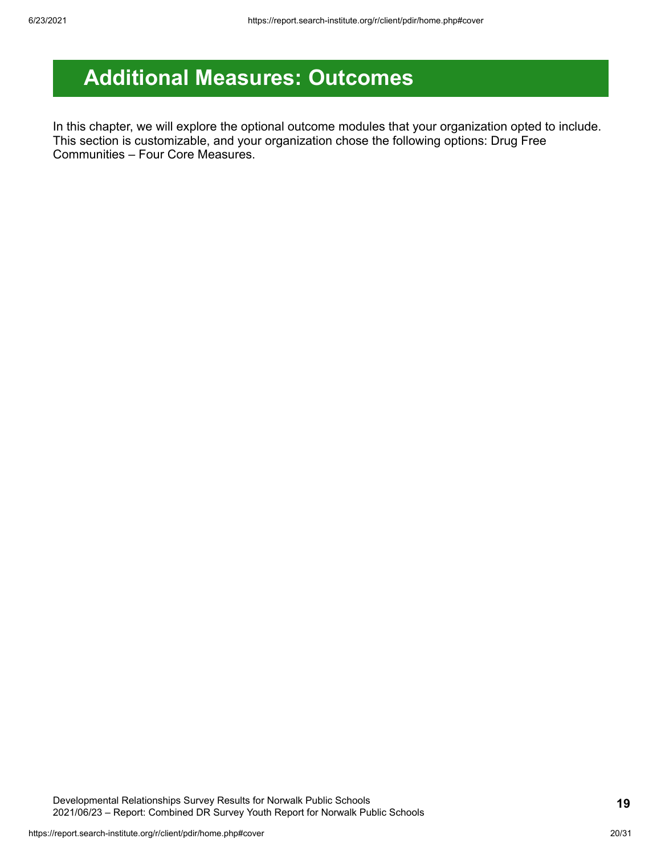## <span id="page-19-0"></span>**Additional Measures: Outcomes**

In this chapter, we will explore the optional outcome modules that your organization opted to include. This section is customizable, and your organization chose the following options: Drug Free Communities – Four Core Measures.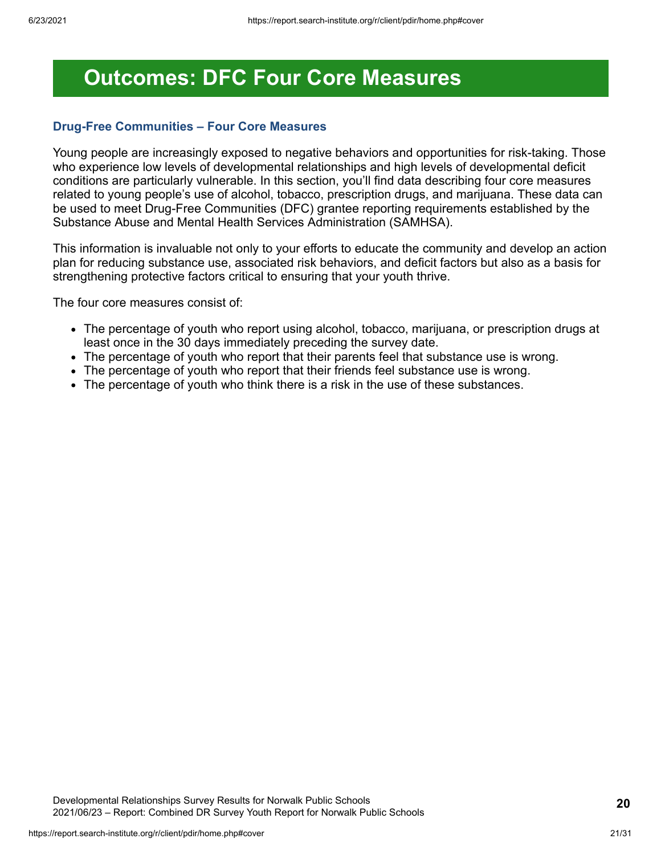## <span id="page-20-0"></span>**Outcomes: DFC Four Core Measures**

#### **Drug-Free Communities – Four Core Measures**

Young people are increasingly exposed to negative behaviors and opportunities for risk-taking. Those who experience low levels of developmental relationships and high levels of developmental deficit conditions are particularly vulnerable. In this section, you'll find data describing four core measures related to young people's use of alcohol, tobacco, prescription drugs, and marijuana. These data can be used to meet Drug-Free Communities (DFC) grantee reporting requirements established by the Substance Abuse and Mental Health Services Administration (SAMHSA).

This information is invaluable not only to your efforts to educate the community and develop an action plan for reducing substance use, associated risk behaviors, and deficit factors but also as a basis for strengthening protective factors critical to ensuring that your youth thrive.

The four core measures consist of:

- The percentage of youth who report using alcohol, tobacco, marijuana, or prescription drugs at least once in the 30 days immediately preceding the survey date.
- The percentage of youth who report that their parents feel that substance use is wrong.
- The percentage of youth who report that their friends feel substance use is wrong.
- The percentage of youth who think there is a risk in the use of these substances.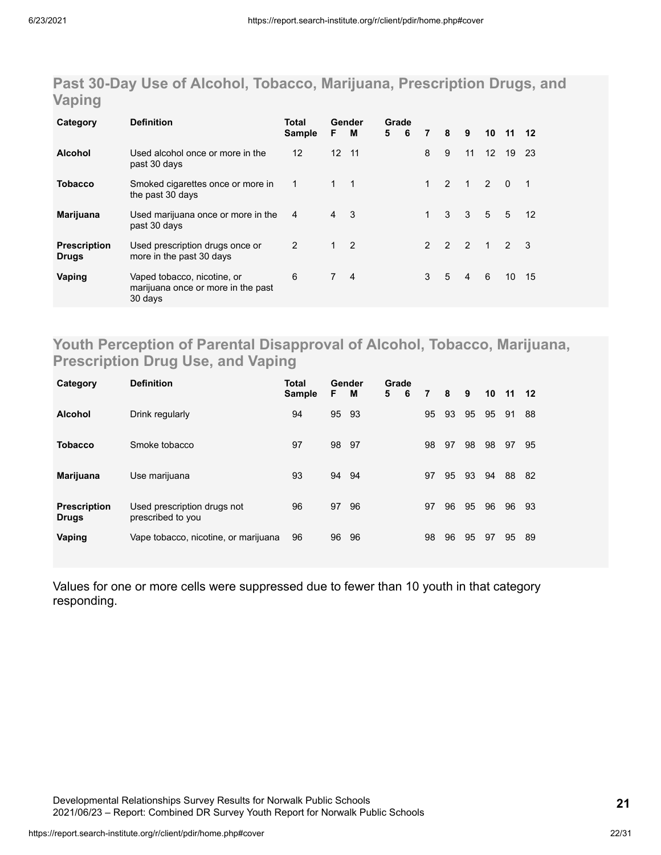### **Past 30-Day Use of Alcohol, Tobacco, Marijuana, Prescription Drugs, and Vaping**

| Category                            | <b>Definition</b>                                                            | Total<br>Sample   | F.              | Gender<br>M                | Grade<br>5 | 6 | $\overline{7}$ | 8             | 9                       | 10                  | 11   | 12             |
|-------------------------------------|------------------------------------------------------------------------------|-------------------|-----------------|----------------------------|------------|---|----------------|---------------|-------------------------|---------------------|------|----------------|
| <b>Alcohol</b>                      | Used alcohol once or more in the<br>past 30 days                             | $12 \overline{ }$ | 12 <sup>2</sup> | 11                         |            |   | 8              | 9             | 11                      | $12 \overline{ }$   | 19   | - 23           |
| <b>Tobacco</b>                      | Smoked cigarettes once or more in<br>the past 30 days                        | $\overline{1}$    | $1 \quad 1$     |                            |            |   | $\mathbf{1}$   | $\mathcal{P}$ |                         | $1 \quad 2 \quad 0$ |      | $\overline{1}$ |
| Marijuana                           | Used marijuana once or more in the<br>past 30 days                           | 4                 | $\overline{4}$  | $\overline{\phantom{a}}$ 3 |            |   | $\mathbf{1}$   | 3             | $\overline{\mathbf{3}}$ | 5 <sub>5</sub>      | $-5$ | 12             |
| <b>Prescription</b><br><b>Drugs</b> | Used prescription drugs once or<br>more in the past 30 days                  | 2                 | $1 \quad 2$     |                            |            |   | $\mathcal{P}$  | 2 2           |                         | $1 \quad 2 \quad 3$ |      |                |
| Vaping                              | Vaped tobacco, nicotine, or<br>marijuana once or more in the past<br>30 days | 6                 | $\overline{7}$  | $\overline{4}$             |            |   | 3              | 5             | $\overline{4}$          | 6                   | 10   | - 15           |

### **Youth Perception of Parental Disapproval of Alcohol, Tobacco, Marijuana, Prescription Drug Use, and Vaping**

| Category                            | <b>Definition</b>                                | Total<br><b>Sample</b> | F.    | Gender<br>м | Grade<br>5 | 6 | 7  | 8  | 9  | 10 11 |    | 12  |
|-------------------------------------|--------------------------------------------------|------------------------|-------|-------------|------------|---|----|----|----|-------|----|-----|
| <b>Alcohol</b>                      | Drink regularly                                  | 94                     | 95    | - 93        |            |   | 95 | 93 | 95 | 95    | 91 | 88  |
| <b>Tobacco</b>                      | Smoke tobacco                                    | 97                     | 98 97 |             |            |   | 98 | 97 | 98 | 98    | 97 | 95  |
| <b>Marijuana</b>                    | Use marijuana                                    | 93                     | 94    | -94         |            |   | 97 | 95 | 93 | 94    | 88 | -82 |
| <b>Prescription</b><br><b>Drugs</b> | Used prescription drugs not<br>prescribed to you | 96                     | 97    | 96          |            |   | 97 | 96 | 95 | 96    | 96 | 93  |
| Vaping                              | Vape tobacco, nicotine, or marijuana             | 96                     | 96    | 96          |            |   | 98 | 96 | 95 | 97    | 95 | 89  |

Values for one or more cells were suppressed due to fewer than 10 youth in that category responding.

Developmental Relationships Survey Results for Norwalk Public Schools 2021/06/23 – Report: Combined DR Survey Youth Report for Norwalk Public Schools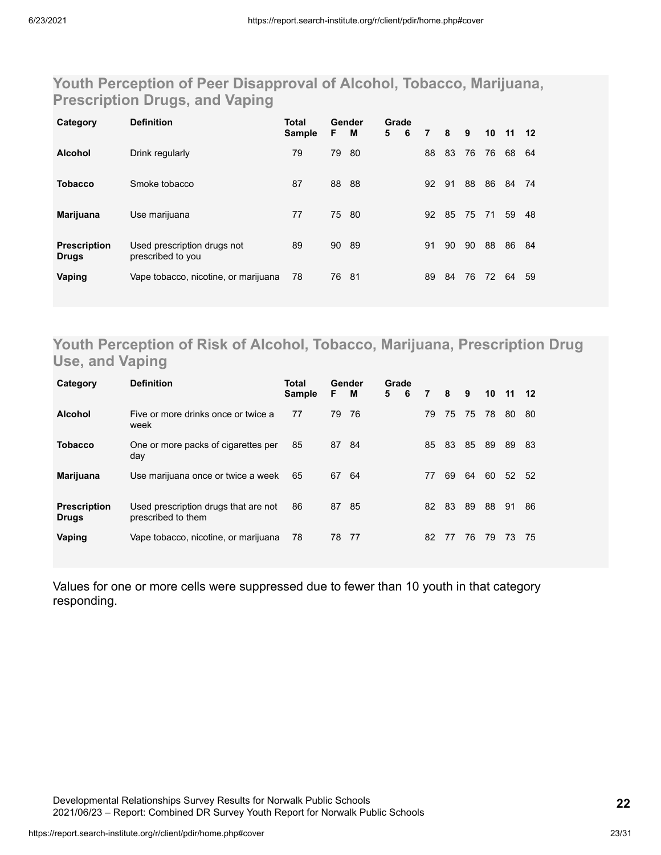### **Youth Perception of Peer Disapproval of Alcohol, Tobacco, Marijuana, Prescription Drugs, and Vaping**

| Category                            | <b>Definition</b>                                | Total<br>Sample | F.    | Gender<br>M | Grade<br>5 | 6 | 7  | 8  | 9  | 10 | 11 12 |    |
|-------------------------------------|--------------------------------------------------|-----------------|-------|-------------|------------|---|----|----|----|----|-------|----|
| <b>Alcohol</b>                      | Drink regularly                                  | 79              | 79    | -80         |            |   | 88 | 83 | 76 | 76 | 68    | 64 |
| <b>Tobacco</b>                      | Smoke tobacco                                    | 87              | 88 88 |             |            |   | 92 | 91 | 88 | 86 | 84    | 74 |
| <b>Marijuana</b>                    | Use marijuana                                    | 77              |       | 75 80       |            |   | 92 | 85 | 75 | 71 | 59    | 48 |
| <b>Prescription</b><br><b>Drugs</b> | Used prescription drugs not<br>prescribed to you | 89              | 90    | - 89        |            |   | 91 | 90 | 90 | 88 | 86    | 84 |
| Vaping                              | Vape tobacco, nicotine, or marijuana             | 78              | 76 81 |             |            |   | 89 | 84 | 76 | 72 | 64    | 59 |

### **Youth Perception of Risk of Alcohol, Tobacco, Marijuana, Prescription Drug Use, and Vaping**

| Category                            | <b>Definition</b>                                          | Total<br><b>Sample</b> | F. | Gender<br>м | Grade<br>5 | 6 | 7  | 8  | 9  | 10 11 |    | $12 \,$ |
|-------------------------------------|------------------------------------------------------------|------------------------|----|-------------|------------|---|----|----|----|-------|----|---------|
| <b>Alcohol</b>                      | Five or more drinks once or twice a<br>week                | 77                     | 79 | -76         |            |   | 79 | 75 | 75 | 78    | 80 | 80      |
| <b>Tobacco</b>                      | One or more packs of cigarettes per<br>day                 | 85                     | 87 | -84         |            |   | 85 | 83 | 85 | 89    | 89 | 83      |
| <b>Marijuana</b>                    | Use marijuana once or twice a week                         | 65                     | 67 | -64         |            |   | 77 | 69 | 64 | 60    | 52 | 52      |
| <b>Prescription</b><br><b>Drugs</b> | Used prescription drugs that are not<br>prescribed to them | 86                     | 87 | -85         |            |   | 82 | 83 | 89 | 88    | 91 | 86      |
| Vaping                              | Vape tobacco, nicotine, or marijuana                       | 78                     | 78 | - 77        |            |   | 82 | 77 | 76 | 79    | 73 | 75      |

Values for one or more cells were suppressed due to fewer than 10 youth in that category responding.

Developmental Relationships Survey Results for Norwalk Public Schools 2021/06/23 – Report: Combined DR Survey Youth Report for Norwalk Public Schools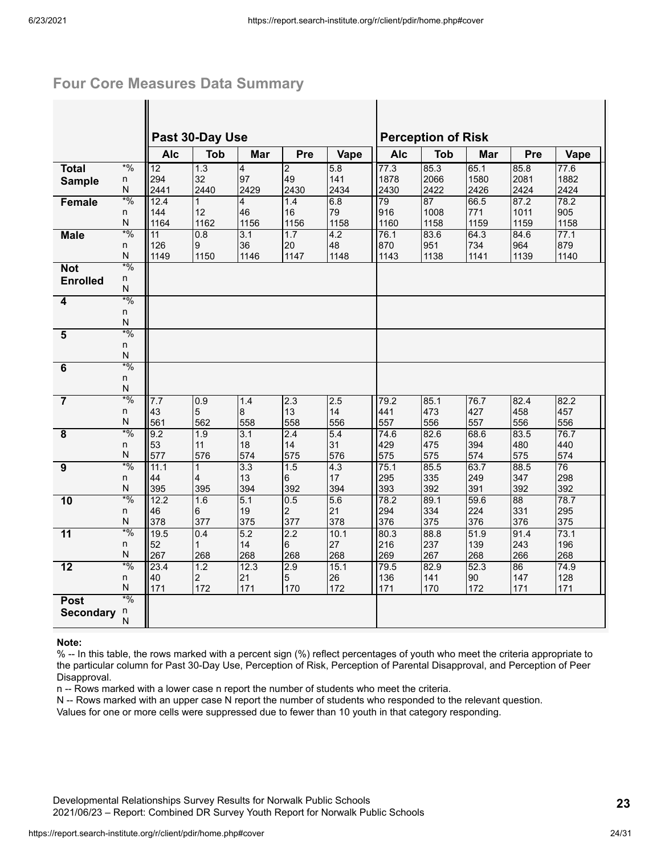### **Four Core Measures Data Summary**

|                         |                     |                 | Past 30-Day Use   |                  |                 |           |             | <b>Perception of Risk</b> |             |             |           |
|-------------------------|---------------------|-----------------|-------------------|------------------|-----------------|-----------|-------------|---------------------------|-------------|-------------|-----------|
|                         |                     | <b>Alc</b>      | <b>Tob</b>        | Mar              | Pre             | Vape      | <b>Alc</b>  | <b>Tob</b>                | Mar         | Pre         | Vape      |
| <b>Total</b>            | $*9/0$              | 12              | 1.3               | $\overline{4}$   | $\overline{2}$  | 5.8       | 77.3        | 85.3                      | 65.1        | 85.8        | 77.6      |
| <b>Sample</b>           | n                   | 294             | 32                | 97               | 49              | 141       | 1878        | 2066                      | 1580        | 2081        | 1882      |
|                         | Ν                   | 2441            | 2440              | 2429             | 2430            | 2434      | 2430        | 2422                      | 2426        | 2424        | 2424      |
| Female                  | $*9/0$              | 12.4            | $\mathbf{1}$      | 4                | 1.4             | 6.8       | 79          | 87                        | 66.5        | 87.2        | 78.2      |
|                         | n                   | 144             | 12                | 46               | 16              | 79        | 916         | 1008                      | 771         | 1011        | 905       |
|                         | N                   | 1164            | 1162              | 1156             | 1156            | 1158      | 1160        | 1158                      | 1159        | 1159        | 1158      |
| <b>Male</b>             | $*9/0$              | $\overline{11}$ | 0.8               | $\overline{3.1}$ | 1.7             | 4.2       | 76.1        | 83.6                      | 64.3        | 84.6        | 77.1      |
|                         | n                   | 126             | 9                 | 36               | 20              | 48        | 870         | 951                       | 734         | 964         | 879       |
|                         | N                   | 1149            | 1150              | 1146             | 1147            | 1148      | 1143        | 1138                      | 1141        | 1139        | 1140      |
| <b>Not</b>              | $*9/0$              |                 |                   |                  |                 |           |             |                           |             |             |           |
| <b>Enrolled</b>         | n<br>N              |                 |                   |                  |                 |           |             |                           |             |             |           |
|                         | $*9/0$              |                 |                   |                  |                 |           |             |                           |             |             |           |
| 4                       | n                   |                 |                   |                  |                 |           |             |                           |             |             |           |
|                         | N                   |                 |                   |                  |                 |           |             |                           |             |             |           |
| $\overline{\mathbf{5}}$ | $*9/0$              |                 |                   |                  |                 |           |             |                           |             |             |           |
|                         | n                   |                 |                   |                  |                 |           |             |                           |             |             |           |
|                         | ${\sf N}$           |                 |                   |                  |                 |           |             |                           |             |             |           |
| 6                       | $*9/0$              |                 |                   |                  |                 |           |             |                           |             |             |           |
|                         | n                   |                 |                   |                  |                 |           |             |                           |             |             |           |
|                         | N                   |                 |                   |                  |                 |           |             |                           |             |             |           |
| $\overline{7}$          | $*9/0$              | 7.7             | 0.9               | 1.4              | 2.3             | 2.5       | 79.2        | 85.1                      | 76.7        | 82.4        | 82.2      |
|                         | n                   | 43              | $\overline{5}$    | 8                | 13              | 14        | 441         | 473                       | 427         | 458         | 457       |
|                         | N                   | 561             | 562               | 558              | 558             | 556       | 557         | 556                       | 557         | 556         | 556       |
| $\overline{8}$          | $*9/0$              | 9.2             | 1.9               | 3.1              | 2.4             | 5.4       | 74.6        | 82.6                      | 68.6        | 83.5        | 76.7      |
|                         | n                   | 53              | 11                | 18               | 14              | 31        | 429         | 475                       | 394         | 480         | 440       |
|                         | ${\sf N}$<br>$*9/0$ | 577             | 576               | 574              | 575             | 576       | 575         | 575                       | 574         | 575         | 574       |
| $\overline{9}$          | n.                  | 11.1<br>44      | $\mathbf{1}$<br>4 | 3.3<br>13        | 1.5<br>6        | 4.3<br>17 | 75.1<br>295 | 85.5<br>335               | 63.7<br>249 | 88.5<br>347 | 76<br>298 |
|                         | ${\sf N}$           | 395             | 395               | 394              | 392             | 394       | 393         | 392                       | 391         | 392         | 392       |
| 10                      | $*9/0$              | 12.2            | 1.6               | 5.1              | 0.5             | 5.6       | 78.2        | 89.1                      | 59.6        | 88          | 78.7      |
|                         | n                   | 46              | 6                 | 19               | $\overline{c}$  | 21        | 294         | 334                       | 224         | 331         | 295       |
|                         | N                   | 378             | 377               | 375              | 377             | 378       | 376         | 375                       | 376         | 376         | 375       |
| $\overline{11}$         | $*9/0$              | 19.5            | 0.4               | 5.2              | 2.2             | 10.1      | 80.3        | 88.8                      | 51.9        | 91.4        | 73.1      |
|                         | n                   | 52              | $\mathbf{1}$      | 14               | 6               | 27        | 216         | 237                       | 139         | 243         | 196       |
|                         | N                   | 267             | 268               | 268              | 268             | 268       | 269         | 267                       | 268         | 266         | 268       |
| 12                      | $*$ %               | 23.4            | 1.2               | 12.3             | 2.9             | 15.1      | 79.5        | 82.9                      | 52.3        | 86          | 74.9      |
|                         | n                   | 40              | $\overline{2}$    | 21               | $5\phantom{.0}$ | 26        | 136         | 141                       | 90          | 147         | 128       |
|                         | ${\sf N}$           | 171             | 172               | 171              | 170             | 172       | 171         | 170                       | 172         | 171         | 171       |
| <b>Post</b>             | $*9/0$              |                 |                   |                  |                 |           |             |                           |             |             |           |
| <b>Secondary</b>        | n                   |                 |                   |                  |                 |           |             |                           |             |             |           |
|                         | N                   |                 |                   |                  |                 |           |             |                           |             |             |           |

#### **Note:**

% -- In this table, the rows marked with a percent sign (%) reflect percentages of youth who meet the criteria appropriate to the particular column for Past 30-Day Use, Perception of Risk, Perception of Parental Disapproval, and Perception of Peer Disapproval.

n -- Rows marked with a lower case n report the number of students who meet the criteria.

N -- Rows marked with an upper case N report the number of students who responded to the relevant question.

Values for one or more cells were suppressed due to fewer than 10 youth in that category responding.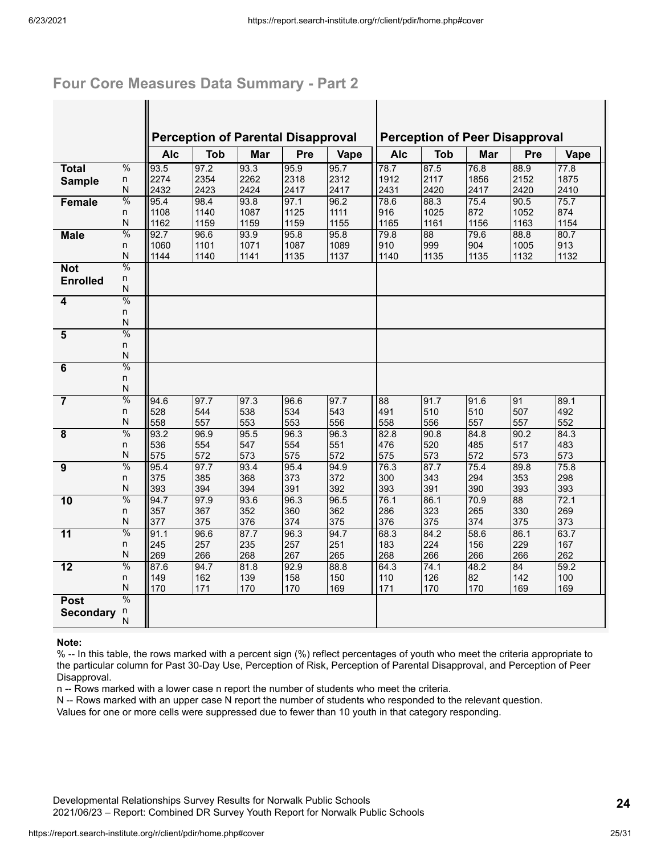### **Four Core Measures Data Summary - Part 2**

 $\mathbf{I}$ 

|                         |                         |            | <b>Perception of Parental Disapproval</b> |      |      |      |      |            | <b>Perception of Peer Disapproval</b> |      |      |
|-------------------------|-------------------------|------------|-------------------------------------------|------|------|------|------|------------|---------------------------------------|------|------|
|                         |                         | <b>Alc</b> | <b>Tob</b>                                | Mar  | Pre  | Vape | Alc  | <b>Tob</b> | Mar                                   | Pre  | Vape |
| <b>Total</b>            | $\frac{0}{0}$           | 93.5       | 97.2                                      | 93.3 | 95.9 | 95.7 | 78.7 | 87.5       | 76.8                                  | 88.9 | 77.8 |
| <b>Sample</b>           | n                       | 2274       | 2354                                      | 2262 | 2318 | 2312 | 1912 | 2117       | 1856                                  | 2152 | 1875 |
|                         | N                       | 2432       | 2423                                      | 2424 | 2417 | 2417 | 2431 | 2420       | 2417                                  | 2420 | 2410 |
| Female                  | $\frac{0}{0}$           | 95.4       | 98.4                                      | 93.8 | 97.1 | 96.2 | 78.6 | 88.3       | 75.4                                  | 90.5 | 75.7 |
|                         | n                       | 1108       | 1140                                      | 1087 | 1125 | 1111 | 916  | 1025       | 872                                   | 1052 | 874  |
|                         | $\overline{\mathsf{N}}$ | 1162       | 1159                                      | 1159 | 1159 | 1155 | 1165 | 1161       | 1156                                  | 1163 | 1154 |
| <b>Male</b>             | $\frac{0}{0}$           | 92.7       | 96.6                                      | 93.9 | 95.8 | 95.8 | 79.8 | 88         | 79.6                                  | 88.8 | 80.7 |
|                         | n                       | 1060       | 1101                                      | 1071 | 1087 | 1089 | 910  | 999        | 904                                   | 1005 | 913  |
|                         | $\overline{\mathsf{N}}$ | 1144       | 1140                                      | 1141 | 1135 | 1137 | 1140 | 1135       | 1135                                  | 1132 | 1132 |
| <b>Not</b>              | $\frac{0}{0}$           |            |                                           |      |      |      |      |            |                                       |      |      |
| <b>Enrolled</b>         | n<br>N                  |            |                                           |      |      |      |      |            |                                       |      |      |
| 4                       | $\frac{0}{0}$           |            |                                           |      |      |      |      |            |                                       |      |      |
|                         | n                       |            |                                           |      |      |      |      |            |                                       |      |      |
|                         | N                       |            |                                           |      |      |      |      |            |                                       |      |      |
| $\overline{\mathbf{5}}$ | $\frac{0}{0}$           |            |                                           |      |      |      |      |            |                                       |      |      |
|                         | n                       |            |                                           |      |      |      |      |            |                                       |      |      |
|                         | $\overline{\mathsf{N}}$ |            |                                           |      |      |      |      |            |                                       |      |      |
| 6                       | $\frac{0}{0}$           |            |                                           |      |      |      |      |            |                                       |      |      |
|                         | n                       |            |                                           |      |      |      |      |            |                                       |      |      |
|                         | N                       |            |                                           |      |      |      |      |            |                                       |      |      |
| $\overline{7}$          | $\frac{0}{0}$           | 94.6       | 97.7                                      | 97.3 | 96.6 | 97.7 | 88   | 91.7       | 91.6                                  | 91   | 89.1 |
|                         | n                       | 528        | 544                                       | 538  | 534  | 543  | 491  | 510        | 510                                   | 507  | 492  |
|                         | N                       | 558        | 557                                       | 553  | 553  | 556  | 558  | 556        | 557                                   | 557  | 552  |
| 8                       | $\frac{0}{0}$           | 93.2       | 96.9                                      | 95.5 | 96.3 | 96.3 | 82.8 | 90.8       | 84.8                                  | 90.2 | 84.3 |
|                         | n                       | 536        | 554                                       | 547  | 554  | 551  | 476  | 520        | 485                                   | 517  | 483  |
|                         | N                       | 575        | 572                                       | 573  | 575  | 572  | 575  | 573        | 572                                   | 573  | 573  |
| $\overline{9}$          | $\frac{0}{0}$           | 95.4       | 97.7                                      | 93.4 | 95.4 | 94.9 | 76.3 | 87.7       | 75.4                                  | 89.8 | 75.8 |
|                         | n                       | 375        | 385                                       | 368  | 373  | 372  | 300  | 343        | 294                                   | 353  | 298  |
|                         | $\overline{\mathsf{N}}$ | 393        | 394                                       | 394  | 391  | 392  | 393  | 391        | 390                                   | 393  | 393  |
| 10                      | $\frac{0}{0}$           | 94.7       | 97.9                                      | 93.6 | 96.3 | 96.5 | 76.1 | 86.1       | 70.9                                  | 88   | 72.1 |
|                         | n                       | 357        | 367                                       | 352  | 360  | 362  | 286  | 323        | 265                                   | 330  | 269  |
|                         | N                       | 377        | 375                                       | 376  | 374  | 375  | 376  | 375        | 374                                   | 375  | 373  |
| 11                      | $\frac{0}{0}$           | 91.1       | 96.6                                      | 87.7 | 96.3 | 94.7 | 68.3 | 84.2       | 58.6                                  | 86.1 | 63.7 |
|                         | n                       | 245        | 257                                       | 235  | 257  | 251  | 183  | 224        | 156                                   | 229  | 167  |
|                         | ${\sf N}$               | 269        | 266                                       | 268  | 267  | 265  | 268  | 266        | 266                                   | 266  | 262  |
| 12                      | $\frac{0}{0}$           | 87.6       | 94.7                                      | 81.8 | 92.9 | 88.8 | 64.3 | 74.1       | 48.2                                  | 84   | 59.2 |
|                         | n                       | 149        | 162                                       | 139  | 158  | 150  | 110  | 126        | 82                                    | 142  | 100  |
|                         | N<br>$\frac{0}{0}$      | 170        | 171                                       | 170  | 170  | 169  | 171  | 170        | 170                                   | 169  | 169  |
| <b>Post</b>             |                         |            |                                           |      |      |      |      |            |                                       |      |      |
| <b>Secondary</b>        | n<br>N                  |            |                                           |      |      |      |      |            |                                       |      |      |
|                         |                         |            |                                           |      |      |      |      |            |                                       |      |      |

#### **Note:**

% -- In this table, the rows marked with a percent sign (%) reflect percentages of youth who meet the criteria appropriate to the particular column for Past 30-Day Use, Perception of Risk, Perception of Parental Disapproval, and Perception of Peer Disapproval.

n -- Rows marked with a lower case n report the number of students who meet the criteria.

N -- Rows marked with an upper case N report the number of students who responded to the relevant question.

Values for one or more cells were suppressed due to fewer than 10 youth in that category responding.

Developmental Relationships Survey Results for Norwalk Public Schools 2021/06/23 – Report: Combined DR Survey Youth Report for Norwalk Public Schools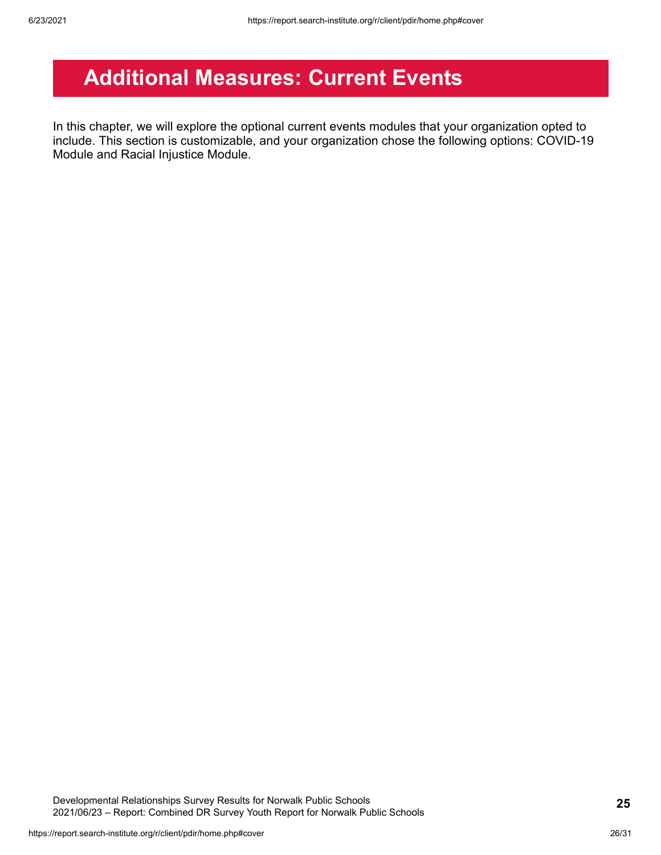## <span id="page-25-0"></span>**Additional Measures: Current Events**

In this chapter, we will explore the optional current events modules that your organization opted to include. This section is customizable, and your organization chose the following options: COVID-19 Module and Racial Injustice Module.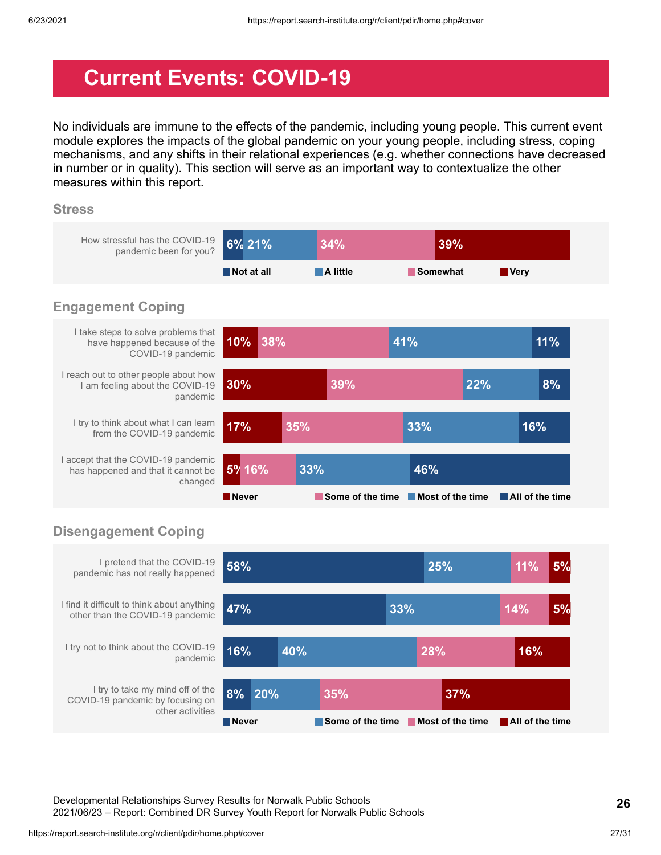## <span id="page-26-0"></span>**Current Events: COVID-19**

No individuals are immune to the effects of the pandemic, including young people. This current event module explores the impacts of the global pandemic on your young people, including stress, coping mechanisms, and any shifts in their relational experiences (e.g. whether connections have decreased in number or in quality). This section will serve as an important way to contextualize the other measures within this report.

#### **Stress**



### **Disengagement Coping**



Developmental Relationships Survey Results for Norwalk Public Schools 2021/06/23 – Report: Combined DR Survey Youth Report for Norwalk Public Schools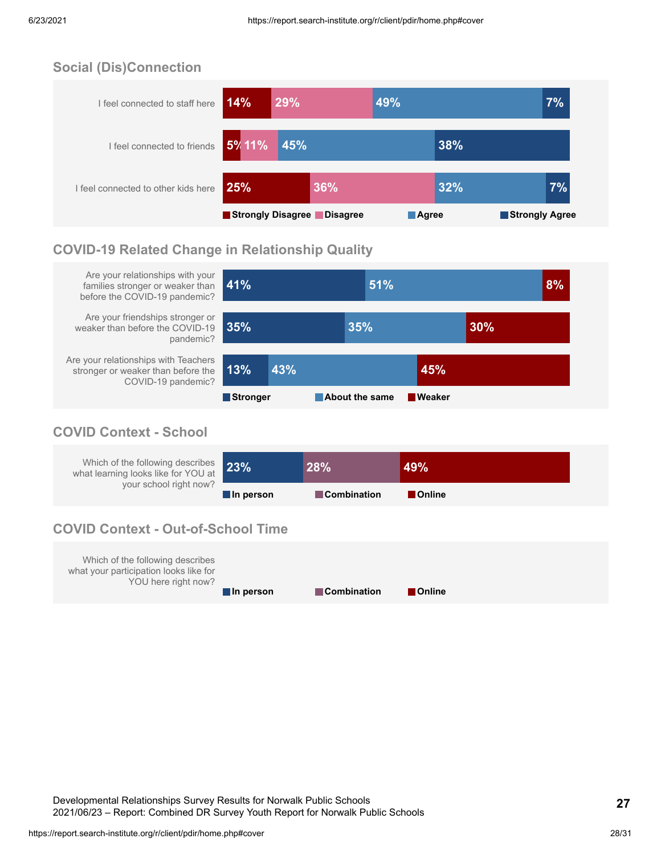### **Social (Dis)Connection**



### **COVID-19 Related Change in Relationship Quality**



### **COVID Context - School**

| Which of the following describes 23%<br>what learning looks like for YOU at |           | 28%                | 49%            |
|-----------------------------------------------------------------------------|-----------|--------------------|----------------|
| your school right now?                                                      | In person | <b>Combination</b> | <b>Conline</b> |

### **COVID Context - Out-of-School Time**

| Which of the following describes<br>what your participation looks like for<br>YOU here right now? |           |                    |               |
|---------------------------------------------------------------------------------------------------|-----------|--------------------|---------------|
|                                                                                                   | In person | <b>Combination</b> | <b>Online</b> |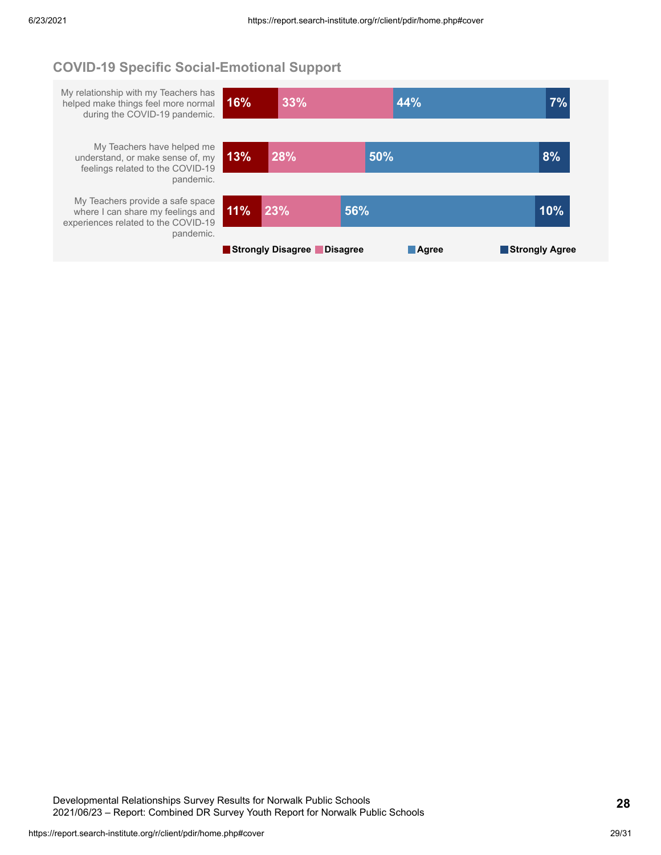### **COVID-19 Specific Social-Emotional Support**

My relationship with my Teachers has helped make things feel more normal during the COVID-19 pandemic. **16% 33% 44% 7%**

My Teachers have helped me understand, or make sense of, my feelings related to the COVID-19 pandemic.

My Teachers provide a safe space where I can share my feelings and experiences related to the COVID-19 pandemic.

| 13% | 28%                        | 50% |              | 8%             |
|-----|----------------------------|-----|--------------|----------------|
| 11% | $\overline{23\%}$          | 56% |              | 10%            |
|     | Strongly Disagree Disagree |     | <b>Agree</b> | Strongly Agree |